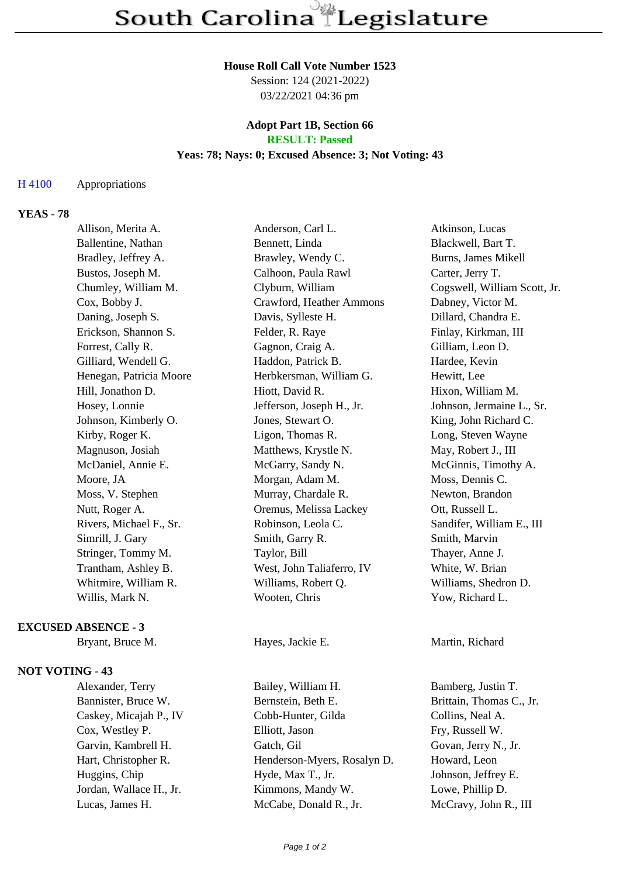#### **House Roll Call Vote Number 1523**

Session: 124 (2021-2022) 03/22/2021 04:36 pm

#### **Adopt Part 1B, Section 66 RESULT: Passed**

### **Yeas: 78; Nays: 0; Excused Absence: 3; Not Voting: 43**

### H 4100 Appropriations

## **YEAS - 78**

| Allison, Merita A.      | Anderson, Carl L.         | Atkinson, Lucas              |
|-------------------------|---------------------------|------------------------------|
| Ballentine, Nathan      | Bennett, Linda            | Blackwell, Bart T.           |
| Bradley, Jeffrey A.     | Brawley, Wendy C.         | Burns, James Mikell          |
| Bustos, Joseph M.       | Calhoon, Paula Rawl       | Carter, Jerry T.             |
| Chumley, William M.     | Clyburn, William          | Cogswell, William Scott, Jr. |
| Cox, Bobby J.           | Crawford, Heather Ammons  | Dabney, Victor M.            |
| Daning, Joseph S.       | Davis, Sylleste H.        | Dillard, Chandra E.          |
| Erickson, Shannon S.    | Felder, R. Raye           | Finlay, Kirkman, III         |
| Forrest, Cally R.       | Gagnon, Craig A.          | Gilliam, Leon D.             |
| Gilliard, Wendell G.    | Haddon, Patrick B.        | Hardee, Kevin                |
| Henegan, Patricia Moore | Herbkersman, William G.   | Hewitt, Lee                  |
| Hill, Jonathon D.       | Hiott, David R.           | Hixon, William M.            |
| Hosey, Lonnie           | Jefferson, Joseph H., Jr. | Johnson, Jermaine L., Sr.    |
| Johnson, Kimberly O.    | Jones, Stewart O.         | King, John Richard C.        |
| Kirby, Roger K.         | Ligon, Thomas R.          | Long, Steven Wayne           |
| Magnuson, Josiah        | Matthews, Krystle N.      | May, Robert J., III          |
| McDaniel, Annie E.      | McGarry, Sandy N.         | McGinnis, Timothy A.         |
| Moore, JA               | Morgan, Adam M.           | Moss, Dennis C.              |
| Moss, V. Stephen        | Murray, Chardale R.       | Newton, Brandon              |
| Nutt, Roger A.          | Oremus, Melissa Lackey    | Ott, Russell L.              |
| Rivers, Michael F., Sr. | Robinson, Leola C.        | Sandifer, William E., III    |
| Simrill, J. Gary        | Smith, Garry R.           | Smith, Marvin                |
| Stringer, Tommy M.      | Taylor, Bill              | Thayer, Anne J.              |
| Trantham, Ashley B.     | West, John Taliaferro, IV | White, W. Brian              |
| Whitmire, William R.    | Williams, Robert Q.       | Williams, Shedron D.         |
| Willis, Mark N.         | Wooten, Chris             | Yow, Richard L.              |
|                         |                           |                              |

### **EXCUSED ABSENCE - 3**

Bryant, Bruce M. Hayes, Jackie E. Martin, Richard

# **NOT VOTING - 43**

Alexander, Terry Bailey, William H. Bamberg, Justin T.

Bannister, Bruce W. Bernstein, Beth E. Brittain, Thomas C., Jr. Caskey, Micajah P., IV Cobb-Hunter, Gilda Collins, Neal A. Cox, Westley P. Elliott, Jason Fry, Russell W. Garvin, Kambrell H. Gatch, Gil Govan, Jerry N., Jr. Hart, Christopher R. Henderson-Myers, Rosalyn D. Howard, Leon Huggins, Chip Hyde, Max T., Jr. Johnson, Jeffrey E. Jordan, Wallace H., Jr. Kimmons, Mandy W. Lowe, Phillip D. Lucas, James H. McCabe, Donald R., Jr. McCravy, John R., III